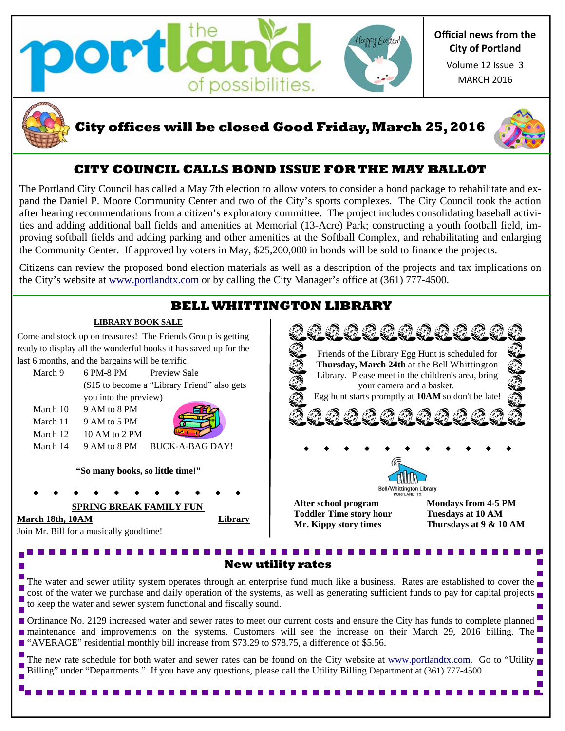



## **City offices will be closed Good Friday, March 25, 2016**



# **CITY COUNCIL CALLS BOND ISSUE FOR THE MAY BALLOT**

The Portland City Council has called a May 7th election to allow voters to consider a bond package to rehabilitate and expand the Daniel P. Moore Community Center and two of the City's sports complexes. The City Council took the action after hearing recommendations from a citizen's exploratory committee. The project includes consolidating baseball activities and adding additional ball fields and amenities at Memorial (13-Acre) Park; constructing a youth football field, improving softball fields and adding parking and other amenities at the Softball Complex, and rehabilitating and enlarging the Community Center. If approved by voters in May, \$25,200,000 in bonds will be sold to finance the projects.

Citizens can review the proposed bond election materials as well as a description of the projects and tax implications on the City's website at www.portlandtx.com or by calling the City Manager's office at (361) 777-4500.

# **BELL WHITTINGTON LIBRARY**

Friends of the Library Egg Hunt is scheduled for **Thursday, March 24th** at the Bell Whittington Library. Please meet in the children's area, bring your camera and a basket. Egg hunt starts promptly at **10AM** so don't be late!

0000000000

**After school program Mondays from 4-5 PM Toddler Time story hour Tuesdays at 10 AM** 

Bell/Whittington Library

### **LIBRARY BOOK SALE**

Come and stock up on treasures! The Friends Group is getting ready to display all the wonderful books it has saved up for the last 6 months, and the bargains will be terrific!

| March 9  | 6 PM-8 PM                                    | Preview Sale |
|----------|----------------------------------------------|--------------|
|          | (\$15 to become a "Library Friend" also gets |              |
|          | you into the preview)                        |              |
| March 10 | 9 AM to 8 PM                                 | <b>SHO</b>   |

March 11 9 AM to 5 PM March  $12 \t10$  AM to 2 PM March 14 9 AM to 8 PM BUCK-A-BAG DAY!

**"So many books, so little time!"**

## **SPRING BREAK FAMILY FUN**